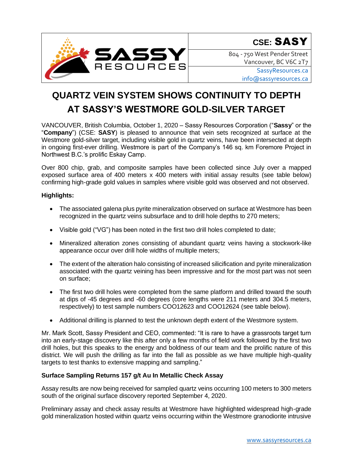

804 - 750 West Pender Street Vancouver, BC V6C 2T7

> [SassyResources.ca](http://www.sassyresources.ca/) [info@sassyresources.ca](mailto:info@sassyresources.ca)

# **QUARTZ VEIN SYSTEM SHOWS CONTINUITY TO DEPTH AT SASSY'S WESTMORE GOLD-SILVER TARGET**

VANCOUVER, British Columbia, October 1, 2020 – Sassy Resources Corporation ("**Sassy**" or the "**Company**") (CSE: **SASY**) is pleased to announce that vein sets recognized at surface at the Westmore gold-silver target, including visible gold in quartz veins, have been intersected at depth in ongoing first-ever drilling. Westmore is part of the Company's 146 sq. km Foremore Project in Northwest B.C.'s prolific Eskay Camp.

Over 800 chip, grab, and composite samples have been collected since July over a mapped exposed surface area of 400 meters x 400 meters with initial assay results (see table below) confirming high-grade gold values in samples where visible gold was observed and not observed.

# **Highlights:**

- The associated galena plus pyrite mineralization observed on surface at Westmore has been recognized in the quartz veins subsurface and to drill hole depths to 270 meters;
- Visible gold ("VG") has been noted in the first two drill holes completed to date;
- Mineralized alteration zones consisting of abundant quartz veins having a stockwork-like appearance occur over drill hole widths of multiple meters;
- The extent of the alteration halo consisting of increased silicification and pyrite mineralization associated with the quartz veining has been impressive and for the most part was not seen on surface;
- The first two drill holes were completed from the same platform and drilled toward the south at dips of -45 degrees and -60 degrees (core lengths were 211 meters and 304.5 meters, respectively) to test sample numbers COO12623 and COO12624 (see table below).
- Additional drilling is planned to test the unknown depth extent of the Westmore system.

Mr. Mark Scott, Sassy President and CEO, commented: "It is rare to have a grassroots target turn into an early-stage discovery like this after only a few months of field work followed by the first two drill holes, but this speaks to the energy and boldness of our team and the prolific nature of this district. We will push the drilling as far into the fall as possible as we have multiple high-quality targets to test thanks to extensive mapping and sampling."

## **Surface Sampling Returns 157 g/t Au In Metallic Check Assay**

Assay results are now being received for sampled quartz veins occurring 100 meters to 300 meters south of the original surface discovery reported September 4, 2020.

Preliminary assay and check assay results at Westmore have highlighted widespread high-grade gold mineralization hosted within quartz veins occurring within the Westmore granodiorite intrusive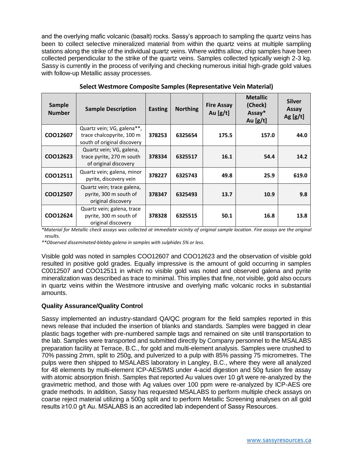and the overlying mafic volcanic (basalt) rocks. Sassy's approach to sampling the quartz veins has been to collect selective mineralized material from within the quartz veins at multiple sampling stations along the strike of the individual quartz veins. Where widths allow, chip samples have been collected perpendicular to the strike of the quartz veins. Samples collected typically weigh 2-3 kg. Sassy is currently in the process of verifying and checking numerous initial high-grade gold values with follow-up Metallic assay processes.

| Sample<br><b>Number</b> | <b>Sample Description</b>                                                              | <b>Easting</b> | <b>Northing</b> | <b>Fire Assay</b><br>Au $[g/t]$ | <b>Metallic</b><br>(Check)<br>Assay*<br>Au $[g/t]$ | <b>Silver</b><br>Assay<br>Ag $[g/t]$ |
|-------------------------|----------------------------------------------------------------------------------------|----------------|-----------------|---------------------------------|----------------------------------------------------|--------------------------------------|
| COO12607                | Quartz vein; VG, galena**,<br>trace chalcopyrite, 100 m<br>south of original discovery | 378253         | 6325654         | 175.5                           | 157.0                                              | 44.0                                 |
| COO12623                | Quartz vein; VG, galena,<br>trace pyrite, 270 m south<br>of original discovery         | 378334         | 6325517         | 16.1                            | 54.4                                               | 14.2                                 |
| CO012511                | Quartz vein; galena, minor<br>pyrite, discovery vein                                   | 378227         | 6325743         | 49.8                            | 25.9                                               | 619.0                                |
| CO012507                | Quartz vein; trace galena,<br>pyrite, 300 m south of<br>original discovery             | 378347         | 6325493         | 13.7                            | 10.9                                               | 9.8                                  |
| COO12624                | Quartz vein; galena, trace<br>pyrite, 300 m south of<br>original discovery             | 378328         | 6325515         | 50.1                            | 16.8                                               | 13.8                                 |

| Select Westmore Composite Samples (Representative Vein Material) |  |
|------------------------------------------------------------------|--|
|------------------------------------------------------------------|--|

*\*Material for Metallic check assays was collected at immediate vicinity of original sample location. Fire assays are the original results.* 

*\*\*Observed disseminated-blebby galena in samples with sulphides 5% or less.*

Visible gold was noted in samples COO12607 and COO12623 and the observation of visible gold resulted in positive gold grades. Equally impressive is the amount of gold occurring in samples C0012507 and COO12511 in which no visible gold was noted and observed galena and pyrite mineralization was described as trace to minimal. This implies that fine, not visible, gold also occurs in quartz veins within the Westmore intrusive and overlying mafic volcanic rocks in substantial amounts.

## **Quality Assurance/Quality Control**

Sassy implemented an industry-standard QA/QC program for the field samples reported in this news release that included the insertion of blanks and standards. Samples were bagged in clear plastic bags together with pre-numbered sample tags and remained on site until transportation to the lab. Samples were transported and submitted directly by Company personnel to the MSALABS preparation facility at Terrace, B.C., for gold and multi-element analysis. Samples were crushed to 70% passing 2mm, split to 250g, and pulverized to a pulp with 85% passing 75 micrometres. The pulps were then shipped to MSALABS laboratory in Langley, B.C., where they were all analyzed for 48 elements by multi-element ICP-AES/IMS under 4-acid digestion and 50g fusion fire assay with atomic absorption finish. Samples that reported Au values over 10 g/t were re-analyzed by the gravimetric method, and those with Ag values over 100 ppm were re-analyzed by ICP-AES ore grade methods. In addition, Sassy has requested MSALABS to perform multiple check assays on coarse reject material utilizing a 500g split and to perform Metallic Screening analyses on all gold results ≥10.0 g/t Au. MSALABS is an accredited lab independent of Sassy Resources.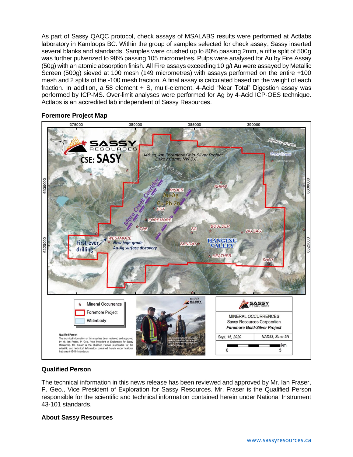As part of Sassy QAQC protocol, check assays of MSALABS results were performed at Actlabs laboratory in Kamloops BC. Within the group of samples selected for check assay, Sassy inserted several blanks and standards. Samples were crushed up to 80% passing 2mm, a riffle split of 500g was further pulverized to 98% passing 105 micrometres. Pulps were analysed for Au by Fire Assay (50g) with an atomic absorption finish. All Fire assays exceeding 10 g/t Au were assayed by Metallic Screen (500g) sieved at 100 mesh (149 micrometres) with assays performed on the entire +100 mesh and 2 splits of the -100 mesh fraction. A final assay is calculated based on the weight of each fraction. In addition, a 58 element + S, multi-element, 4-Acid "Near Total" Digestion assay was performed by ICP-MS. Over-limit analyses were performed for Ag by 4-Acid ICP-OES technique. Actlabs is an accredited lab independent of Sassy Resources.

## **Foremore Project Map**



## **Qualified Person**

The technical information in this news release has been reviewed and approved by Mr. Ian Fraser, P. Geo., Vice President of Exploration for Sassy Resources. Mr. Fraser is the Qualified Person responsible for the scientific and technical information contained herein under National Instrument 43-101 standards.

## **About Sassy Resources**